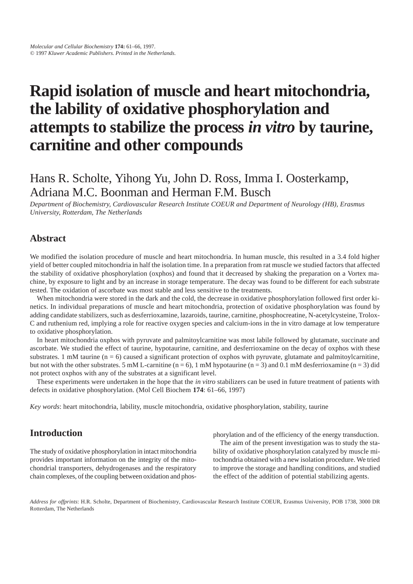# **Rapid isolation of muscle and heart mitochondria, the lability of oxidative phosphorylation and attempts to stabilize the process** *in vitro* **by taurine, carnitine and other compounds**

## Hans R. Scholte, Yihong Yu, John D. Ross, Imma I. Oosterkamp, Adriana M.C. Boonman and Herman F.M. Busch

*Department of Biochemistry, Cardiovascular Research Institute COEUR and Department of Neurology (HB), Erasmus University, Rotterdam, The Netherlands*

### **Abstract**

We modified the isolation procedure of muscle and heart mitochondria. In human muscle, this resulted in a 3.4 fold higher yield of better coupled mitochondria in half the isolation time. In a preparation from rat muscle we studied factors that affected the stability of oxidative phosphorylation (oxphos) and found that it decreased by shaking the preparation on a Vortex machine, by exposure to light and by an increase in storage temperature. The decay was found to be different for each substrate tested. The oxidation of ascorbate was most stable and less sensitive to the treatments.

When mitochondria were stored in the dark and the cold, the decrease in oxidative phosphorylation followed first order kinetics. In individual preparations of muscle and heart mitochondria, protection of oxidative phosphorylation was found by adding candidate stabilizers, such as desferrioxamine, lazaroids, taurine, carnitine, phosphocreatine, N-acetylcysteine, Trolox-C and ruthenium red, implying a role for reactive oxygen species and calcium-ions in the in vitro damage at low temperature to oxidative phosphorylation.

In heart mitochondria oxphos with pyruvate and palmitoylcarnitine was most labile followed by glutamate, succinate and ascorbate. We studied the effect of taurine, hypotaurine, carnitine, and desferrioxamine on the decay of oxphos with these substrates. 1 mM taurine ( $n = 6$ ) caused a significant protection of oxphos with pyruvate, glutamate and palmitoylcarnitine, but not with the other substrates. 5 mM L-carnitine ( $n = 6$ ), 1 mM hypotaurine ( $n = 3$ ) and 0.1 mM desferrioxamine ( $n = 3$ ) did not protect oxphos with any of the substrates at a significant level.

These experiments were undertaken in the hope that the *in vitro* stabilizers can be used in future treatment of patients with defects in oxidative phosphorylation. (Mol Cell Biochem **174**: 61–66, 1997)

*Key words*: heart mitochondria, lability, muscle mitochondria, oxidative phosphorylation, stability, taurine

### **Introduction**

The study of oxidative phosphorylation in intact mitochondria provides important information on the integrity of the mitochondrial transporters, dehydrogenases and the respiratory chain complexes, of the coupling between oxidation and phosphorylation and of the efficiency of the energy transduction.

The aim of the present investigation was to study the stability of oxidative phosphorylation catalyzed by muscle mitochondria obtained with a new isolation procedure. We tried to improve the storage and handling conditions, and studied the effect of the addition of potential stabilizing agents.

*Address for offprints*: H.R. Scholte, Department of Biochemistry, Cardiovascular Research Institute COEUR, Erasmus University, POB 1738, 3000 DR Rotterdam, The Netherlands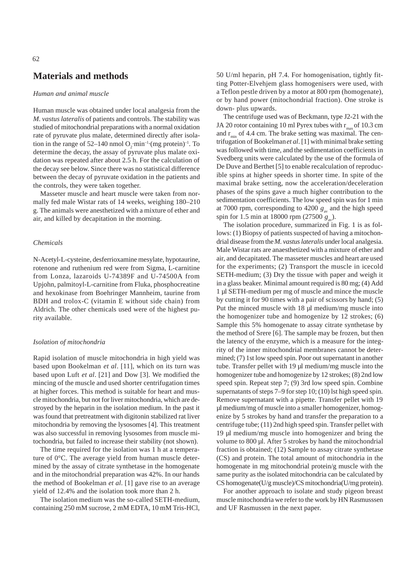### **Materials and methods**

#### *Human and animal muscle*

Human muscle was obtained under local analgesia from the *M. vastus lateralis* of patients and controls. The stability was studied of mitochondrial preparations with a normal oxidation rate of pyruvate plus malate, determined directly after isolation in the range of 52–140 nmol  $O_2$ ·min<sup>-1</sup>·(mg protein)<sup>-1</sup>. To determine the decay, the assay of pyruvate plus malate oxidation was repeated after about 2.5 h. For the calculation of the decay see below. Since there was no statistical difference between the decay of pyruvate oxidation in the patients and the controls, they were taken together.

Masseter muscle and heart muscle were taken from normally fed male Wistar rats of 14 weeks, weighing 180–210 g. The animals were anesthetized with a mixture of ether and air, and killed by decapitation in the morning.

#### *Chemicals*

N-Acetyl-L-cysteine, desferrioxamine mesylate, hypotaurine, rotenone and ruthenium red were from Sigma, L-carnitine from Lonza, lazaroids U-74389F and U-74500A from Upjohn, palmitoyl-L-carnitine from Fluka, phosphocreatine and hexokinase from Boehringer Mannheim, taurine from BDH and trolox-C (vitamin E without side chain) from Aldrich. The other chemicals used were of the highest purity available.

#### *Isolation of mitochondria*

Rapid isolation of muscle mitochondria in high yield was based upon Bookelman *et al*. [11], which on its turn was based upon Luft *et al*. [21] and Dow [3]. We modified the mincing of the muscle and used shorter centrifugation times at higher forces. This method is suitable for heart and muscle mitochondria, but not for liver mitochondria, which are destroyed by the heparin in the isolation medium. In the past it was found that pretreatment with digitonin stabilized rat liver mitochondria by removing the lysosomes [4]. This treatment was also successful in removing lysosomes from muscle mitochondria, but failed to increase their stability (not shown).

The time required for the isolation was 1 h at a temperature of 0°C. The average yield from human muscle determined by the assay of citrate synthetase in the homogenate and in the mitochondrial preparation was 42%. In our hands the method of Bookelman *et al*. [1] gave rise to an average yield of 12.4% and the isolation took more than 2 h.

The isolation medium was the so-called SETH-medium, containing 250 mM sucrose, 2 mM EDTA, 10 mM Tris-HCl, 50 U/ml heparin, pH 7.4. For homogenisation, tightly fitting Potter-Elvehjem glass homogenisers were used, with a Teflon pestle driven by a motor at 800 rpm (homogenate), or by hand power (mitochondrial fraction). One stroke is down- plus upwards.

The centrifuge used was of Beckmann, type J2-21 with the JA 20 rotor containing 10 ml Pyrex tubes with  $r_{\text{max}}$  of 10.3 cm and  $r_{\min}$  of 4.4 cm. The brake setting was maximal. The centrifugation of Bookelman *et al*. [1] with minimal brake setting was followed with time, and the sedimentation coefficients in Svedberg units were calculated by the use of the formula of De Duve and Berthet [5] to enable recalculation of reproducible spins at higher speeds in shorter time. In spite of the maximal brake setting, now the acceleration/deceleration phases of the spins gave a much higher contribution to the sedimentation coefficients. The low speed spin was for 1 min at 7000 rpm, corresponding to 4200  $g_{av}$  and the high speed spin for 1.5 min at 18000 rpm (27500  $g_{av}$ ).

The isolation procedure, summarized in Fig. 1 is as follows: (1) Biopsy of patients suspected of having a mitochondrial disease from the *M. vastus lateralis* under local analgesia. Male Wistar rats are anaesthetized with a mixture of ether and air, and decapitated. The masseter muscles and heart are used for the experiments; (2) Transport the muscle in icecold SETH-medium; (3) Dry the tissue with paper and weigh it in a glass beaker. Minimal amount required is 80 mg; (4) Add 1 µl SETH-medium per mg of muscle and mince the muscle by cutting it for 90 times with a pair of scissors by hand; (5) Put the minced muscle with 18 µl medium/mg muscle into the homogenizer tube and homogenize by 12 strokes; (6) Sample this 5% homogenate to assay citrate synthetase by the method of Srere [6]. The sample may be frozen, but then the latency of the enzyme, which is a measure for the integrity of the inner mitochondrial membranes cannot be determined; (7) 1st low speed spin. Poor out supernatant in another tube. Transfer pellet with 19 µl medium/mg muscle into the homogenizer tube and homogenize by 12 strokes; (8) 2nd low speed spin. Repeat step 7; (9) 3rd low speed spin. Combine supernatants of steps 7–9 for step 10; (10) lst high speed spin. Remove supernatant with a pipette. Transfer pellet with 19 µl medium/mg of muscle into a smaller homogenizer, homogenize by 5 strokes by hand and transfer the preparation to a centrifuge tube; (11) 2nd high speed spin. Transfer pellet with 19 µl medium/mg muscle into homogenizer and bring the volume to 800 µl. After 5 strokes by hand the mitochondrial fraction is obtained; (12) Sample to assay citrate synthetase (CS) and protein. The total amount of mitochondria in the homogenate in mg mitochondrial protein/g muscle with the same purity as the isolated mitochondria can be calculated by CS homogenate(U/g muscle)/CS mitochondria(U/mg protein).

For another approach to isolate and study pigeon breast muscle mitochondria we refer to the work by HN Rasmusssen and UF Rasmussen in the next paper.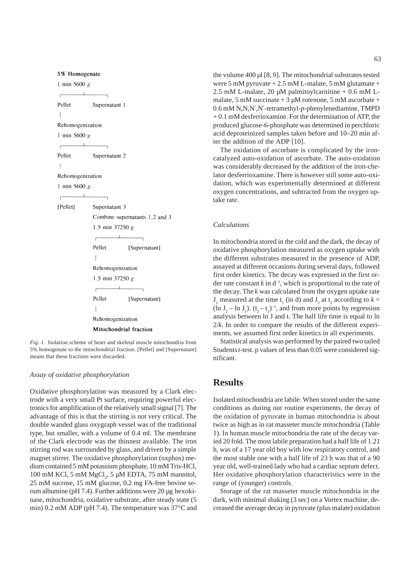#### 5% Homogenate

1 min 5600  $g$ Pellet Supernatant 1  $\overline{\phantom{a}}$ Rehomogenization 1 min 5600  $g$  $\mathbf{r}$ Pellet Supernatant 2  $\overline{\phantom{a}}$ Rehomogenization 1 min 5600  $g$ [Pellet] Supernatant 3 Combine supernatants 1,2 and 3 1.5 min 37250  $g$ Pellet [Supernatant]  $\overline{1}$ Rehomogenization 1.5 min 37250  $g$ Pellet [Supernatant]  $\overline{1}$ Rehomogenization Mitochondrial fraction

*Fig. 1*. Isolation scheme of heart and skeletal muscle mitochondria from 5% homogenate to the mitochondrial fraction. [Pellet] and [Supernatant] means that these fractions were discarded.

#### *Assay of oxidative phosphorylation*

Oxidative phosphorylation was measured by a Clark electrode with a very small Pt surface, requiring powerful electronics for amplification of the relatively small signal [7]. The advantage of this is that the stirring is not very critical. The double wanded glass oxygraph vessel was of the traditional type, but smaller, with a volume of 0.4 ml. The membrane of the Clark electrode was the thinnest available. The iron stirring rod was surrounded by glass, and driven by a simple magnet stirrer. The oxidative phosphorylation (oxphos) medium contained 5 mM potassium phosphate, 10 mM Tris-HCl, 100 mM KCl, 5 mM  $MgCl_2$ , 5 µM EDTA, 75 mM mannitol, 25 mM sucrose, 15 mM glucose, 0.2 mg FA-free bovine serum albumine (pH 7.4). Further additions were 20 µg hexokinase, mitochondria, oxidative substrate, after steady state (5 min) 0.2 mM ADP (pH 7.4). The temperature was 37°C and

the volume 400 µl [8, 9]. The mitochondrial substrates tested were 5 mM pyruvate + 2.5 mM L-malate, 5 mM glutamate + 2.5 mM L-malate, 20 µM palmitoylcarnitine + 0.6 mM Lmalate, 5 mM succinate  $+3 \mu$ M rotenone, 5 mM ascorbate  $+$ 0.6 mM N,N,N′,N′-tetramethyl-*p*-phenylenediamine, TMPD + 0.1 mM desferrioxamine. For the determination of ATP, the produced glucose-6-phosphate was determined in perchloric acid deproteinized samples taken before and 10–20 min after the addition of the ADP [10].

The oxidation of ascorbate is complicated by the ironcatalyzed auto-oxidation of ascorbate. The auto-oxidation was considerably decreased by the addition of the iron-chelator desferrioxamine. There is however still some auto-oxidation, which was experimentally determined at different oxygen concentrations, and subtracted from the oxygen uptake rate.

#### *Calculations*

In mitochondria stored in the cold and the dark, the decay of oxidative phosphorylation measured as oxygen uptake with the different substrates measured in the presence of ADP, assayed at different occasions during several days, followed first order kinetics. The decay was expressed in the first order rate constant  $k$  in  $d^{-1}$ , which is proportional to the rate of the decay. The *k* was calculated from the oxygen uptake rate  $J_1$  measured at the time  $t_1$  (in d) and  $J_2$  at  $t_2$  according to  $k =$  $(\ln J_2 - \ln J_1)$ .  $(t_2 - t_1)^{-1}$ , and from more points by regression analysis between ln J and t. The half life time is equal to ln 2/*k*. In order to compare the results of the different experiments, we assumed first order kinetics in all experiments.

Statistical analysis was performed by the paired two tailed Students *t*-test. p values of less than 0.05 were considered significant.

### **Results**

Isolated mitochondria are labile. When stored under the same conditions as during our routine experiments, the decay of the oxidation of pyruvate in human mitochondria is about twice as high as in rat masseter muscle mitochondria (Table 1). In human muscle mitochondria the rate of the decay varied 20 fold. The most labile preparation had a half life of 1.21 h, was of a 17 year old boy with low respiratory control, and the most stable one with a half life of 23 h was that of a 90 year old, well-trained lady who had a cardiac septum defect. Her oxidative phosphorylation characteristics were in the range of (younger) controls.

Storage of the rat masseter muscle mitochondria in the dark, with minimal shaking (3 sec) on a Vortex machine, decreased the average decay in pyruvate (plus malate) oxidation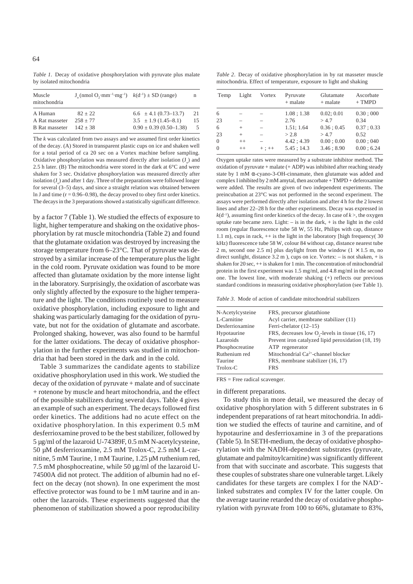*Table 1*. Decay of oxidative phosphorylation with pyruvate plus malate by isolated mitochondria

| Muscle<br>mitochondria | J (nmol O <sub>2</sub> ·mm <sup>-1</sup> ·mg <sup>-1</sup> ) $k(d^{-1}) \pm SD$ (range) |                             | n  |
|------------------------|-----------------------------------------------------------------------------------------|-----------------------------|----|
| A Human                | $82 + 22$                                                                               | $6.6 \pm 4.1$ (0.73–13.7)   | 21 |
| A Rat masseter         | $258 + 77$                                                                              | $3.5 \pm 1.9 (1.45 - 8.1)$  | 15 |
| <b>B</b> Rat masseter  | $142 + 38$                                                                              | $0.90 \pm 0.39$ (0.50–1.38) | .5 |

The *k* was calculated from two assays and we assumed first order kinetics of the decay. (A) Stored in transparent plastic cups on ice and shaken well for a total period of ca 20 sec on a Vortex machine before sampling. Oxidative phosphorylation was measured directly after isolation  $(J_0)$  and 2.5 h later. (B) The mitochondria were stored in the dark at 6°C and were shaken for 3 sec. Oxidative phosphorylation was measured directly after isolation  $(\mathrm{J}_\mathrm{\scriptscriptstyle O})$  and after 1 day. Three of the preparations were followed longer for several (3–5) days, and since a straight relation was obtained between ln J and time  $(r = 0.96 - 0.98)$ , the decay proved to obey first order kinetics. The decays in the 3 preparations showed a statistically significant difference.

by a factor 7 (Table 1). We studied the effects of exposure to light, higher temperature and shaking on the oxidative phosphorylation by rat muscle mitochondria (Table 2) and found that the glutamate oxidation was destroyed by increasing the storage temperature from 6–23°C. That of pyruvate was destroyed by a similar increase of the temperature plus the light in the cold room. Pyruvate oxidation was found to be more affected than glutamate oxidation by the more intense light in the laboratory. Surprisingly, the oxidation of ascorbate was only slightly affected by the exposure to the higher temperature and the light. The conditions routinely used to measure oxidative phosphorylation, including exposure to light and shaking was particularly damaging for the oxidation of pyruvate, but not for the oxidation of glutamate and ascorbate. Prolonged shaking, however, was also found to be harmful for the latter oxidations. The decay of oxidative phosphorylation in the further experiments was studied in mitochondria that had been stored in the dark and in the cold.

Table 3 summarizes the candidate agents to stabilize oxidative phosphorylation used in this work. We studied the decay of the oxidation of pyruvate + malate and of succinate + rotenone by muscle and heart mitochondria, and the effect of the possible stabilizers during several days. Table 4 gives an example of such an experiment. The decays followed first order kinetics. The additions had no acute effect on the oxidative phosphorylation. In this experiment 0.5 mM desferrioxamine proved to be the best stabilizer, followed by 5 µg/ml of the lazaroid U-74389F, 0.5 mM N-acetylcysteine, 50 µM desferrioxamine, 2.5 mM Trolox-C, 2.5 mM L-carnitine, 5 mM Taurine, 1 mM Taurine, 1.25 µM ruthenium red, 7.5 mM phosphocreatine, while 50 µg/ml of the lazaroid U-74500A did not protect. The addition of albumin had no effect on the decay (not shown). In one experiment the most effective protector was found to be 1 mM taurine and in another the lazaroids. These experiments suggested that the phenomenon of stabilization showed a poor reproducibility

*Table 2*. Decay of oxidative phosphorylation in by rat masseter muscle mitochondria. Effect of temperature, exposure to light and shaking

| Temp     | Light   | Vortex    | Pyruvate<br>$+$ malate | Glutamate<br>$+$ malate | Ascorbate<br>$+$ TMPD |
|----------|---------|-----------|------------------------|-------------------------|-----------------------|
| 6        |         |           | 1.08:1.38              | 0.02; 0.01              | 0.30:000              |
| 23       |         |           | 2.76                   | >4.7                    | 0.34                  |
| 6        | $^{+}$  |           | 1.51; 1.64             | 0.36:0.45               | 0.37:0.33             |
| 23       | $^{+}$  |           | > 2.8                  | >4.7                    | 0.52                  |
| $\Omega$ | $^{++}$ |           | 4.42:4.39              | 0.00:0.00               | 0.00:040              |
| $\Omega$ | $^{++}$ | $+ : + +$ | 5.45:14.3              | 3.46:8.90               | 0.00:6.24             |

Oxygen uptake rates were measured by a substrate inhibitor method. The oxidation of pyruvate  $+$  malate  $(+$  ADP) was inhibited after reaching steady state by 1 mM α-cyano-3-OH-cinnamate, then glutamate was added and complex I inhibited by 2 mM amytal, then ascorbate + TMPD + deferoxamine were added. The results are given of two independent experiments. The preincubation at 23°C was not performed in the second experiment. The assays were performed directly after isolation and after 4 h for the 2 lowest lines and after 22–28 h for the other experiments. Decay was expressed in  $k(d^{-1})$ , assuming first order kinetics of the decay. In case of  $k$  >, the oxygen uptake rate became zero. Light:  $-$  is in the dark,  $+$  is the light in the cold room (regular fluorescence tube 58 W, 55 Hz, Philips with cap, distance 1.1 m), cups in rack, ++ is the light in the laboratory [high frequency( 30 kHz) fluorescence tube 58 W, colour 84 without cap, distance nearest tube 2 m, second one 2.5 m] plus daylight from the window  $(1 \times 1.5 \text{ m}, \text{no})$ direct sunlight, distance 3.2 m ), cups on ice. Vortex: – is not shaken, + is shaken for 20 sec, ++ is shaken for 1 min. The concentration of mitochondrial protein in the first experiment was 1.5 mg/ml, and 4.8 mg/ml in the second one. The lowest line, with moderate shaking (+) reflects our previous standard conditions in measuring oxidative phosphorylation (see Table 1).

*Table 3*. Mode of action of candidate mitochondrial stabilizers

| N-Acetylcysteine | FRS, precursor glutathione                                   |
|------------------|--------------------------------------------------------------|
| L-Carnitine      | Acyl carrier, membrane stabilizer (11)                       |
| Desferrioxamine  | Ferri-chelator $(12-15)$                                     |
| Hypotaurine      | FRS, decreases low O <sub>2</sub> -levels in tissue (16, 17) |
| Lazaroids        | Prevent iron catalyzed lipid peroxidation (18, 19)           |
| Phosphocreatine  | ATP regenerator                                              |
| Ruthenium red    | Mitochondrial Ca <sup>2+</sup> -channel blocker              |
| Taurine          | FRS, membrane stabilizer (16, 17)                            |
| Trolox-C         | <b>FRS</b>                                                   |

FRS = Free radical scavenger.

in different preparations.

To study this in more detail, we measured the decay of oxidative phosphorylation with 5 different substrates in 6 independent preparations of rat heart mitochondria. In addition we studied the effects of taurine and carnitine, and of hypotaurine and desferrioxamine in 3 of the preparations (Table 5). In SETH-medium, the decay of oxidative phosphorylation with the NADH-dependent substrates (pyruvate, glutamate and palmitoylcarnitine) was significantly different from that with succinate and ascorbate. This suggests that these couples of substrates share one vulnerable target. Likely candidates for these targets are complex I for the NAD+ linked substrates and complex IV for the latter couple. On the average taurine retarded the decay of oxidative phosphorylation with pyruvate from 100 to 66%, glutamate to 83%,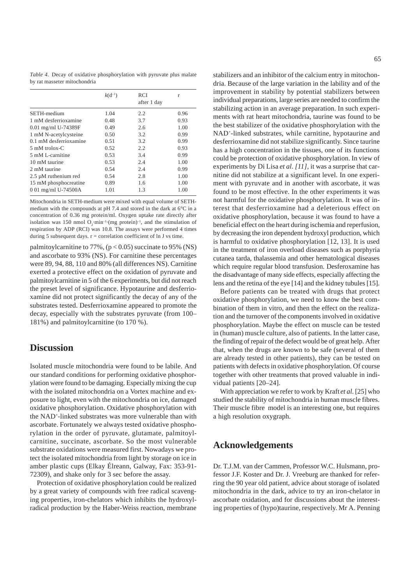*Table 4*. Decay of oxidative phosphorylation with pyruvate plus malate by rat masseter mitochondria

|                                  | $k(d^{-1})$ | <b>RCI</b><br>after 1 day | r    |
|----------------------------------|-------------|---------------------------|------|
| SETH-medium                      | 1.04        | 2.2                       | 0.96 |
| 1 mM desferrioxamine             | 0.48        | 3.7                       | 0.93 |
| $0.01$ mg/ml U-74389F            | 0.49        | 2.6                       | 1.00 |
| 1 mM N-acetylcysteine            | 0.50        | 3.2                       | 0.99 |
| $0.1 \text{ mM}$ desferrioxamine | 0.51        | 3.2                       | 0.99 |
| 5 mM trolox-C                    | 0.52        | 2.2                       | 0.93 |
| 5 mM L-carnitine                 | 0.53        | 3.4                       | 0.99 |
| 10 mM taurine                    | 0.53        | 2.4                       | 1.00 |
| 2 mM taurine                     | 0.54        | 2.4                       | 0.99 |
| 2.5 µM ruthenium red             | 0.54        | 2.8                       | 1.00 |
| 15 mM phosphocreatine            | 0.89        | 1.6                       | 1.00 |
| 0 01 mg/ml U-74500A              | 1.01        | 1.3                       | 1.00 |
|                                  |             |                           |      |

Mitochondria in SETH-medium were mixed with equal volume of SETHmedium with the compounds at pH 7.4 and stored in the dark at 6°C in a concentration of 0.36 mg protein/ml. Oxygen uptake rate directly after isolation was 150 nmol  $O_2$ ·min<sup>-1</sup>·(mg protein)<sup>-1</sup>, and the stimulation of respiration by ADP (RCI) was 10.8. The assays were performed 4 times during 5 subsequent days.  $r =$  correlation coefficient of ln J vs time.

palmitoylcarnitine to 77%,  $(p < 0.05)$  succinate to 95% (NS) and ascorbate to 93% (NS). For carnitine these percentages were 89, 94, 88, 110 and 80% (all differences NS). Carnitine exerted a protective effect on the oxidation of pyruvate and palmitoylcarnitine in 5 of the 6 experiments, but did not reach the preset level of significance. Hypotaurine and desferrioxamine did not protect significantly the decay of any of the substrates tested. Desferrioxamine appeared to promote the decay, especially with the substrates pyruvate (from 100– 181%) and palmitoylcarnitine (to 170 %).

### **Discussion**

Isolated muscle mitochondria were found to be labile. And our standard conditions for performing oxidative phosphorylation were found to be damaging. Especially mixing the cup with the isolated mitochondria on a Vortex machine and exposure to light, even with the mitochondria on ice, damaged oxidative phosphorylation. Oxidative phosphorylation with the NAD+ -linked substrates was more vulnerable than with ascorbate. Fortunately we always tested oxidative phosphorylation in the order of pyruvate, glutamate, palmitoylcarnitine, succinate, ascorbate. So the most vulnerable substrate oxidations were measured first. Nowadays we protect the isolated mitochondria from light by storage on ice in amber plastic cups (Elkay Élreann, Galway, Fax: 353-91- 72309), and shake only for 3 sec before the assay.

Protection of oxidative phosphorylation could be realized by a great variety of compounds with free radical scavenging properties, iron-chelators which inhibits the hydroxylradical production by the Haber-Weiss reaction, membrane

stabilizers and an inhibitor of the calcium entry in mitochondria. Because of the large variation in the lability and of the improvement in stability by potential stabilizers between individual preparations, large series are needed to confirm the stabilizing action in an average preparation. In such experiments with rat heart mitochondria, taurine was found to be the best stabilizer of the oxidative phosphorylation with the NAD+-linked substrates, while carnitine, hypotaurine and desferrioxamine did not stabilize significantly. Since taurine has a high concentration in the tissues, one of its functions could be protection of oxidative phosphorylation. In view of experiments by Di Lisa *et al. [11],* it was a surprise that carnitine did not stabilize at a significant level. In one experiment with pyruvate and in another with ascorbate, it was found to be most effective. In the other experiments it was not harmful for the oxidative phosphorylation. It was of interest that desferrioxamine had a deleterious effect on oxidative phosphorylation, because it was found to have a beneficial effect on the heart during ischemia and reperfusion, by decreasing the iron dependent hydroxyl production, which is harmful to oxidative phosphorylation [12, 13]. It is used in the treatment of iron overload diseases such as porphyria cutanea tarda, thalassemia and other hematological diseases which require regular blood transfusion. Desferoxamine has the disadvantage of many side effects, especially affecting the lens and the retina of the eye [14] and the kidney tubules [15].

Before patients can be treated with drugs that protect oxidative phosphorylation, we need to know the best combination of them in vitro, and then the effect on the realization and the turnover of the components involved in oxidative phosphorylation. Maybe the effect on muscle can be tested in (human) muscle culture, also of patients. In the latter case, the finding of repair of the defect would be of great help. After that, when the drugs are known to be safe (several of them are already tested in other patients), they can be tested on patients with defects in oxidative phosphorylation. Of course together with other treatments that proved valuable in individual patients [20–24].

With appreciation we refer to work by Kraft *et al*. [25] who studied the stability of mitochondria in human muscle fibres. Their muscle fibre model is an interesting one, but requires a high resolution oxygraph.

### **Acknowledgements**

Dr. T.J.M. van der Cammen, Professor W.C. Hulsmann, professor J.F. Koster and Dr. J. Vreeburg are thanked for referring the 90 year old patient, advice about storage of isolated mitochondria in the dark, advice to try an iron-chelator in ascorbate oxidation, and for discussions about the interesting properties of (hypo)taurine, respectively. Mr A. Penning